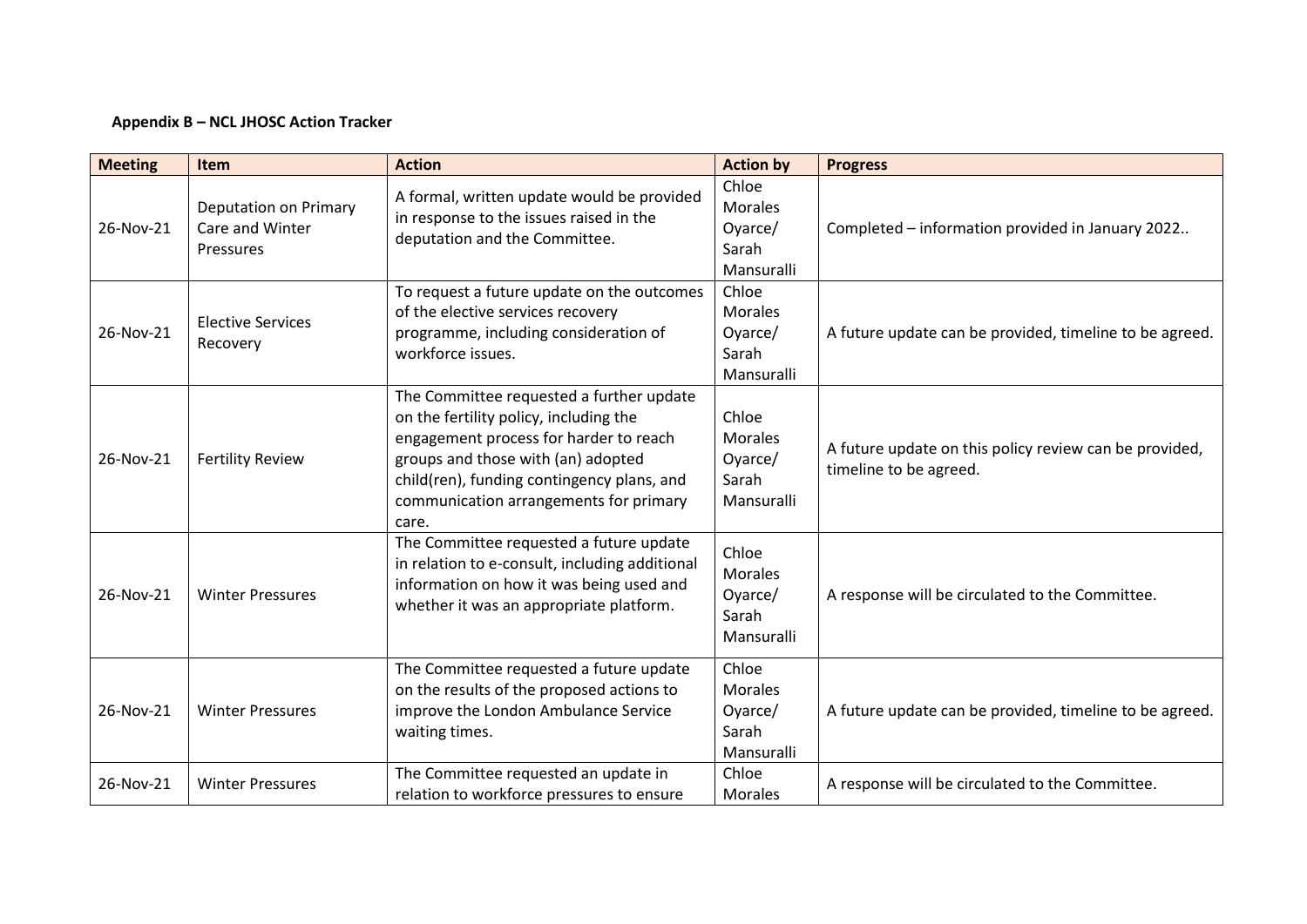## **Appendix B – NCL JHOSC Action Tracker**

| <b>Meeting</b> | <b>Item</b>                                                         | <b>Action</b>                                                                                                                                                                                                                                                       | <b>Action by</b>                                          | <b>Progress</b>                                                                  |
|----------------|---------------------------------------------------------------------|---------------------------------------------------------------------------------------------------------------------------------------------------------------------------------------------------------------------------------------------------------------------|-----------------------------------------------------------|----------------------------------------------------------------------------------|
| 26-Nov-21      | <b>Deputation on Primary</b><br>Care and Winter<br><b>Pressures</b> | A formal, written update would be provided<br>in response to the issues raised in the<br>deputation and the Committee.                                                                                                                                              | Chloe<br><b>Morales</b><br>Oyarce/<br>Sarah<br>Mansuralli | Completed - information provided in January 2022                                 |
| 26-Nov-21      | <b>Elective Services</b><br>Recovery                                | To request a future update on the outcomes<br>of the elective services recovery<br>programme, including consideration of<br>workforce issues.                                                                                                                       | Chloe<br><b>Morales</b><br>Oyarce/<br>Sarah<br>Mansuralli | A future update can be provided, timeline to be agreed.                          |
| 26-Nov-21      | <b>Fertility Review</b>                                             | The Committee requested a further update<br>on the fertility policy, including the<br>engagement process for harder to reach<br>groups and those with (an) adopted<br>child(ren), funding contingency plans, and<br>communication arrangements for primary<br>care. | Chloe<br><b>Morales</b><br>Oyarce/<br>Sarah<br>Mansuralli | A future update on this policy review can be provided,<br>timeline to be agreed. |
| 26-Nov-21      | <b>Winter Pressures</b>                                             | The Committee requested a future update<br>in relation to e-consult, including additional<br>information on how it was being used and<br>whether it was an appropriate platform.                                                                                    | Chloe<br><b>Morales</b><br>Oyarce/<br>Sarah<br>Mansuralli | A response will be circulated to the Committee.                                  |
| 26-Nov-21      | <b>Winter Pressures</b>                                             | The Committee requested a future update<br>on the results of the proposed actions to<br>improve the London Ambulance Service<br>waiting times.                                                                                                                      | Chloe<br><b>Morales</b><br>Oyarce/<br>Sarah<br>Mansuralli | A future update can be provided, timeline to be agreed.                          |
| 26-Nov-21      | <b>Winter Pressures</b>                                             | The Committee requested an update in<br>relation to workforce pressures to ensure                                                                                                                                                                                   | Chloe<br><b>Morales</b>                                   | A response will be circulated to the Committee.                                  |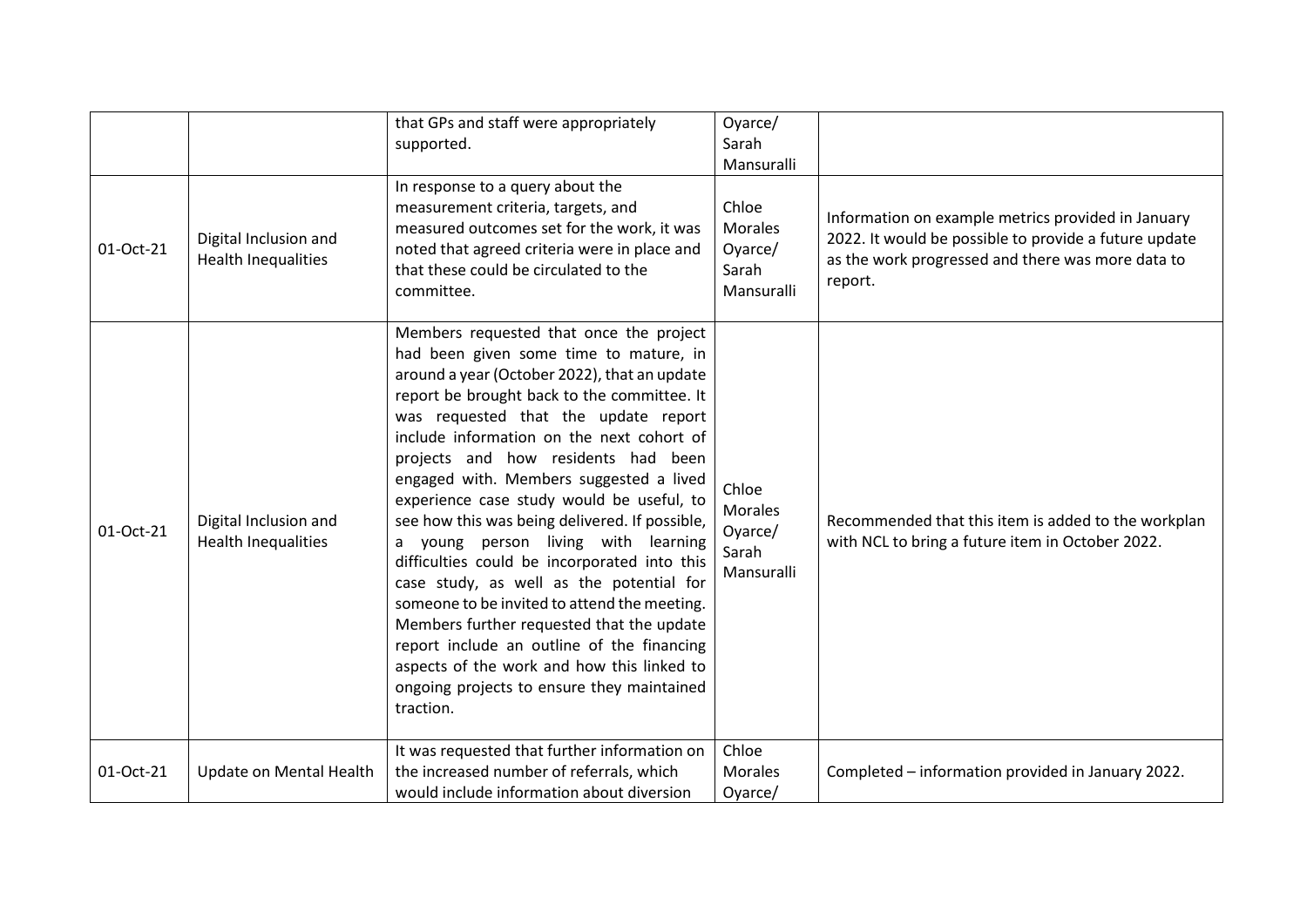|           |                                                     | that GPs and staff were appropriately<br>supported.                                                                                                                                                                                                                                                                                                                                                                                                                                                                                                                                                                                                                                                                                                                                                                                           | Oyarce/<br>Sarah<br>Mansuralli                            |                                                                                                                                                                             |
|-----------|-----------------------------------------------------|-----------------------------------------------------------------------------------------------------------------------------------------------------------------------------------------------------------------------------------------------------------------------------------------------------------------------------------------------------------------------------------------------------------------------------------------------------------------------------------------------------------------------------------------------------------------------------------------------------------------------------------------------------------------------------------------------------------------------------------------------------------------------------------------------------------------------------------------------|-----------------------------------------------------------|-----------------------------------------------------------------------------------------------------------------------------------------------------------------------------|
| 01-Oct-21 | Digital Inclusion and<br><b>Health Inequalities</b> | In response to a query about the<br>measurement criteria, targets, and<br>measured outcomes set for the work, it was<br>noted that agreed criteria were in place and<br>that these could be circulated to the<br>committee.                                                                                                                                                                                                                                                                                                                                                                                                                                                                                                                                                                                                                   | Chloe<br><b>Morales</b><br>Oyarce/<br>Sarah<br>Mansuralli | Information on example metrics provided in January<br>2022. It would be possible to provide a future update<br>as the work progressed and there was more data to<br>report. |
| 01-Oct-21 | Digital Inclusion and<br><b>Health Inequalities</b> | Members requested that once the project<br>had been given some time to mature, in<br>around a year (October 2022), that an update<br>report be brought back to the committee. It<br>was requested that the update report<br>include information on the next cohort of<br>projects and how residents had been<br>engaged with. Members suggested a lived<br>experience case study would be useful, to<br>see how this was being delivered. If possible,<br>a young person living with learning<br>difficulties could be incorporated into this<br>case study, as well as the potential for<br>someone to be invited to attend the meeting.<br>Members further requested that the update<br>report include an outline of the financing<br>aspects of the work and how this linked to<br>ongoing projects to ensure they maintained<br>traction. | Chloe<br><b>Morales</b><br>Oyarce/<br>Sarah<br>Mansuralli | Recommended that this item is added to the workplan<br>with NCL to bring a future item in October 2022.                                                                     |
| 01-Oct-21 | Update on Mental Health                             | It was requested that further information on<br>the increased number of referrals, which<br>would include information about diversion                                                                                                                                                                                                                                                                                                                                                                                                                                                                                                                                                                                                                                                                                                         | Chloe<br><b>Morales</b><br>Oyarce/                        | Completed - information provided in January 2022.                                                                                                                           |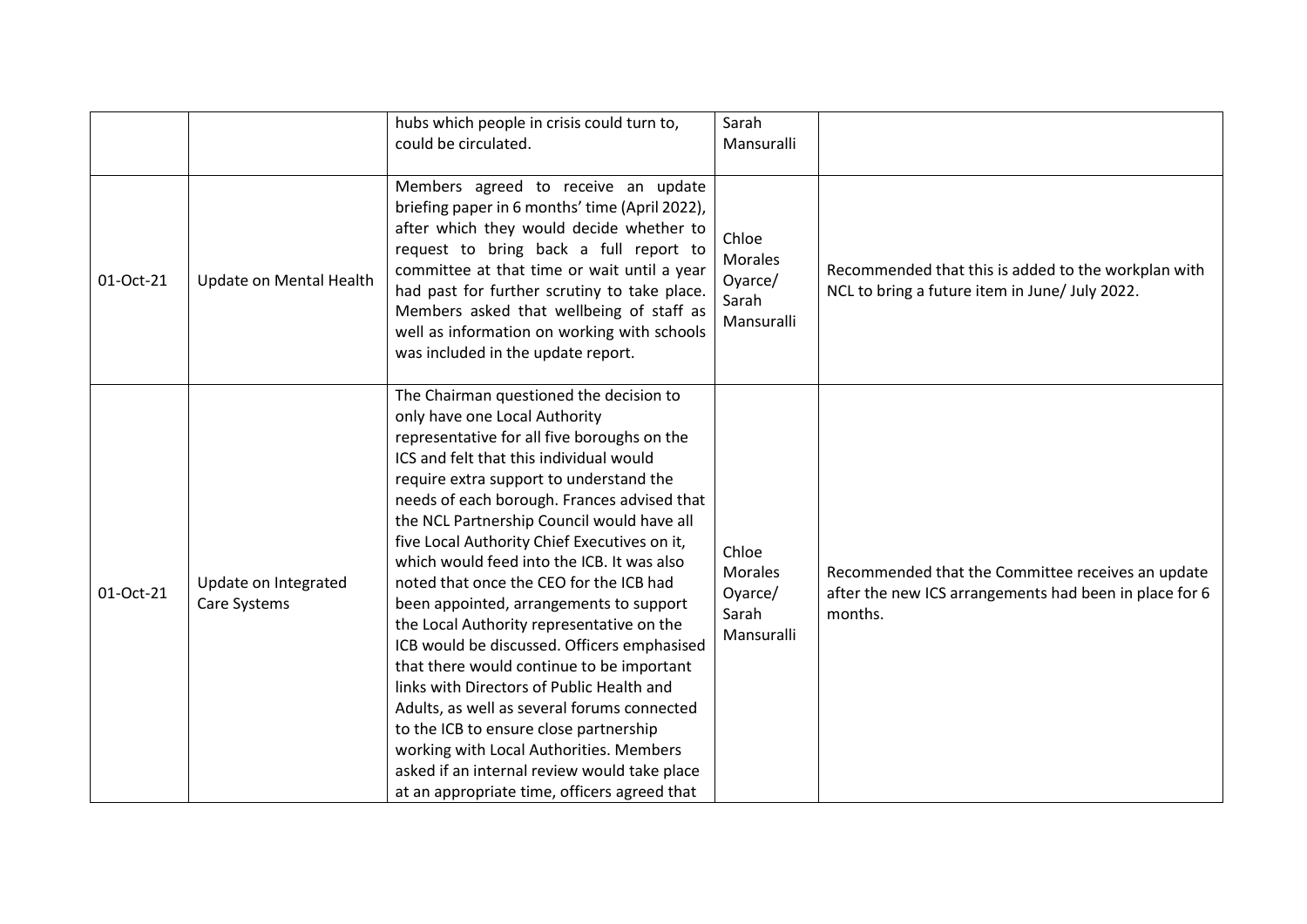|           |                                      | hubs which people in crisis could turn to,<br>could be circulated.                                                                                                                                                                                                                                                                                                                                                                                                                                                                                                                                                                                                                                                                                                                                                                                                                                                       | Sarah<br>Mansuralli                                       |                                                                                                                        |
|-----------|--------------------------------------|--------------------------------------------------------------------------------------------------------------------------------------------------------------------------------------------------------------------------------------------------------------------------------------------------------------------------------------------------------------------------------------------------------------------------------------------------------------------------------------------------------------------------------------------------------------------------------------------------------------------------------------------------------------------------------------------------------------------------------------------------------------------------------------------------------------------------------------------------------------------------------------------------------------------------|-----------------------------------------------------------|------------------------------------------------------------------------------------------------------------------------|
| 01-Oct-21 | Update on Mental Health              | Members agreed to receive an update<br>briefing paper in 6 months' time (April 2022),<br>after which they would decide whether to<br>request to bring back a full report to<br>committee at that time or wait until a year<br>had past for further scrutiny to take place.<br>Members asked that wellbeing of staff as<br>well as information on working with schools<br>was included in the update report.                                                                                                                                                                                                                                                                                                                                                                                                                                                                                                              | Chloe<br><b>Morales</b><br>Oyarce/<br>Sarah<br>Mansuralli | Recommended that this is added to the workplan with<br>NCL to bring a future item in June/ July 2022.                  |
| 01-Oct-21 | Update on Integrated<br>Care Systems | The Chairman questioned the decision to<br>only have one Local Authority<br>representative for all five boroughs on the<br>ICS and felt that this individual would<br>require extra support to understand the<br>needs of each borough. Frances advised that<br>the NCL Partnership Council would have all<br>five Local Authority Chief Executives on it,<br>which would feed into the ICB. It was also<br>noted that once the CEO for the ICB had<br>been appointed, arrangements to support<br>the Local Authority representative on the<br>ICB would be discussed. Officers emphasised<br>that there would continue to be important<br>links with Directors of Public Health and<br>Adults, as well as several forums connected<br>to the ICB to ensure close partnership<br>working with Local Authorities. Members<br>asked if an internal review would take place<br>at an appropriate time, officers agreed that | Chloe<br><b>Morales</b><br>Oyarce/<br>Sarah<br>Mansuralli | Recommended that the Committee receives an update<br>after the new ICS arrangements had been in place for 6<br>months. |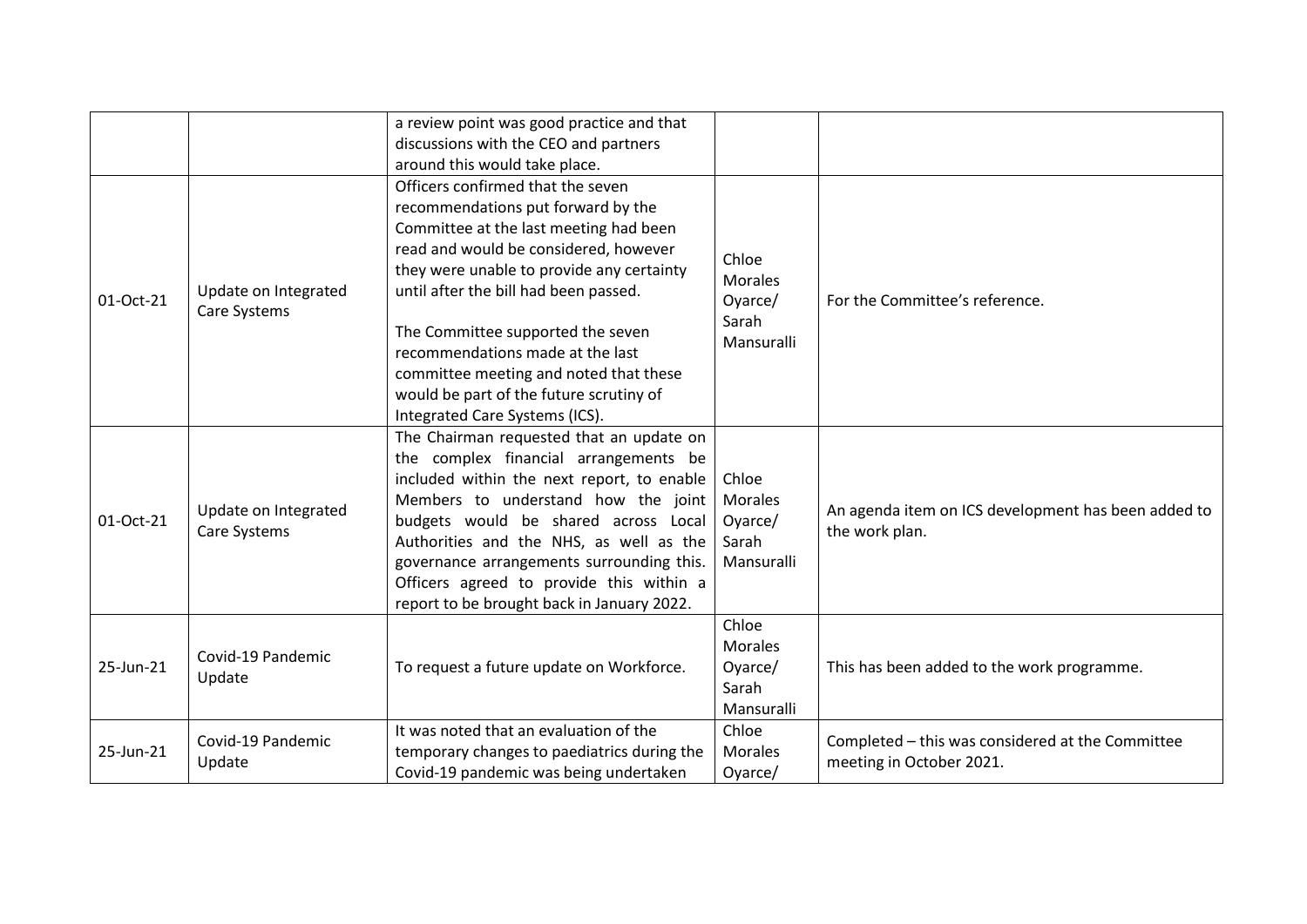|           |                                      | a review point was good practice and that                                                                                                                                                    |                                                           |                                                                              |
|-----------|--------------------------------------|----------------------------------------------------------------------------------------------------------------------------------------------------------------------------------------------|-----------------------------------------------------------|------------------------------------------------------------------------------|
|           |                                      | discussions with the CEO and partners                                                                                                                                                        |                                                           |                                                                              |
|           |                                      | around this would take place.                                                                                                                                                                |                                                           |                                                                              |
|           |                                      | Officers confirmed that the seven                                                                                                                                                            | Chloe<br><b>Morales</b><br>Oyarce/<br>Sarah<br>Mansuralli | For the Committee's reference.                                               |
|           |                                      | recommendations put forward by the                                                                                                                                                           |                                                           |                                                                              |
|           |                                      | Committee at the last meeting had been                                                                                                                                                       |                                                           |                                                                              |
|           |                                      | read and would be considered, however                                                                                                                                                        |                                                           |                                                                              |
|           |                                      | they were unable to provide any certainty                                                                                                                                                    |                                                           |                                                                              |
| 01-Oct-21 | Update on Integrated                 | until after the bill had been passed.                                                                                                                                                        |                                                           |                                                                              |
|           | Care Systems                         | The Committee supported the seven<br>recommendations made at the last<br>committee meeting and noted that these<br>would be part of the future scrutiny of<br>Integrated Care Systems (ICS). |                                                           |                                                                              |
|           | Update on Integrated<br>Care Systems | The Chairman requested that an update on                                                                                                                                                     |                                                           |                                                                              |
|           |                                      | the complex financial arrangements be                                                                                                                                                        |                                                           |                                                                              |
|           |                                      | included within the next report, to enable                                                                                                                                                   | Chloe                                                     |                                                                              |
|           |                                      | Members to understand how the joint                                                                                                                                                          | <b>Morales</b>                                            | An agenda item on ICS development has been added to                          |
| 01-Oct-21 |                                      | budgets would be shared across Local                                                                                                                                                         | Oyarce/                                                   | the work plan.                                                               |
|           |                                      | Authorities and the NHS, as well as the                                                                                                                                                      | Sarah                                                     |                                                                              |
|           |                                      | governance arrangements surrounding this.                                                                                                                                                    | Mansuralli                                                |                                                                              |
|           |                                      | Officers agreed to provide this within a                                                                                                                                                     |                                                           |                                                                              |
|           |                                      | report to be brought back in January 2022.                                                                                                                                                   |                                                           |                                                                              |
| 25-Jun-21 | Covid-19 Pandemic<br>Update          |                                                                                                                                                                                              | Chloe                                                     |                                                                              |
|           |                                      | To request a future update on Workforce.                                                                                                                                                     | <b>Morales</b>                                            | This has been added to the work programme.                                   |
|           |                                      |                                                                                                                                                                                              | Oyarce/                                                   |                                                                              |
|           |                                      |                                                                                                                                                                                              | Sarah                                                     |                                                                              |
|           |                                      |                                                                                                                                                                                              | Mansuralli                                                |                                                                              |
|           | Covid-19 Pandemic<br>Update          | It was noted that an evaluation of the                                                                                                                                                       | Chloe                                                     | Completed - this was considered at the Committee<br>meeting in October 2021. |
| 25-Jun-21 |                                      | temporary changes to paediatrics during the                                                                                                                                                  | <b>Morales</b>                                            |                                                                              |
|           |                                      | Covid-19 pandemic was being undertaken                                                                                                                                                       | Oyarce/                                                   |                                                                              |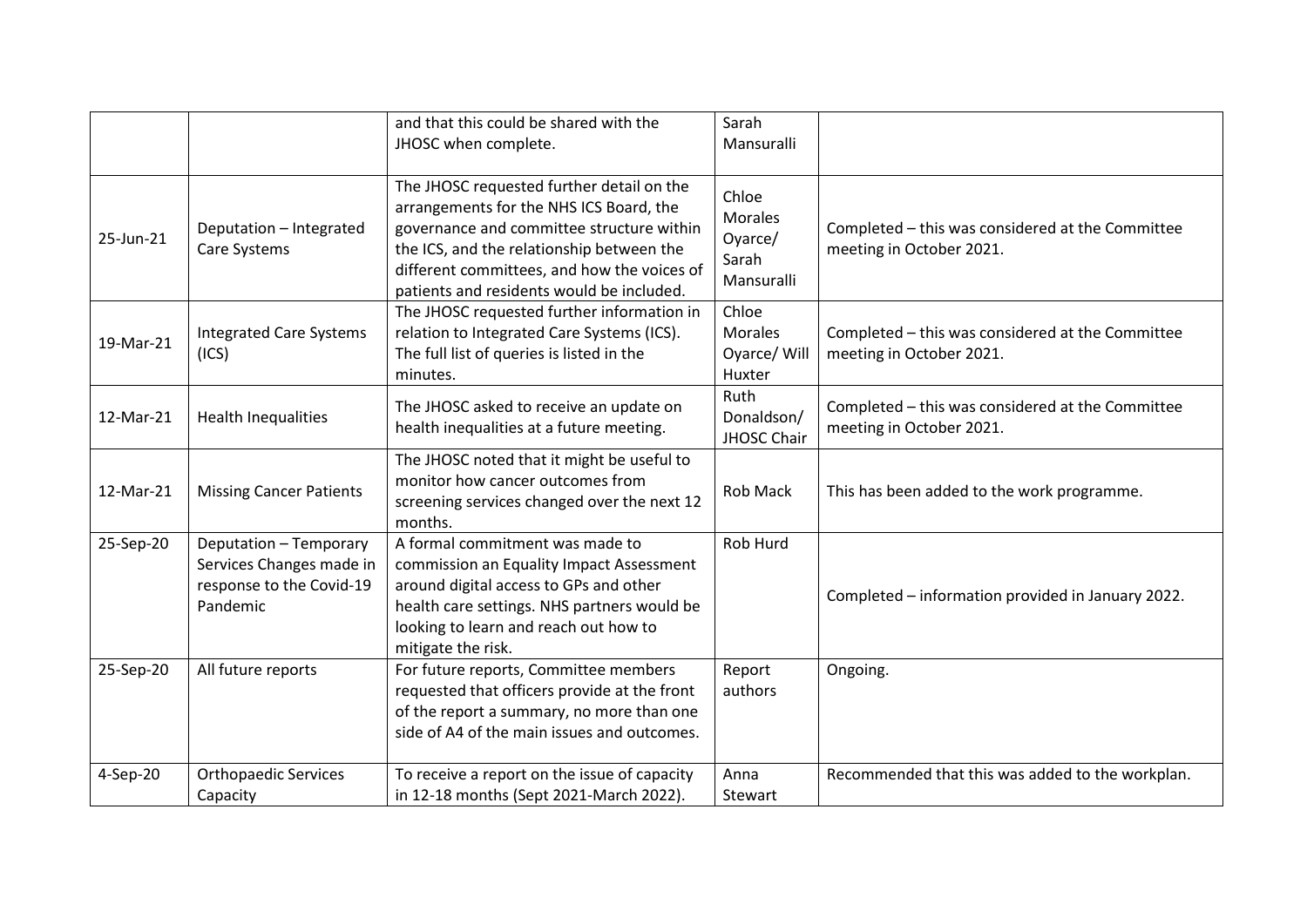|           |                                                                                            | and that this could be shared with the<br>JHOSC when complete.                                                                                                                                                                                                             | Sarah<br>Mansuralli                                       |                                                                              |
|-----------|--------------------------------------------------------------------------------------------|----------------------------------------------------------------------------------------------------------------------------------------------------------------------------------------------------------------------------------------------------------------------------|-----------------------------------------------------------|------------------------------------------------------------------------------|
| 25-Jun-21 | Deputation - Integrated<br>Care Systems                                                    | The JHOSC requested further detail on the<br>arrangements for the NHS ICS Board, the<br>governance and committee structure within<br>the ICS, and the relationship between the<br>different committees, and how the voices of<br>patients and residents would be included. | Chloe<br><b>Morales</b><br>Oyarce/<br>Sarah<br>Mansuralli | Completed - this was considered at the Committee<br>meeting in October 2021. |
| 19-Mar-21 | <b>Integrated Care Systems</b><br>(ICS)                                                    | The JHOSC requested further information in<br>relation to Integrated Care Systems (ICS).<br>The full list of queries is listed in the<br>minutes.                                                                                                                          | Chloe<br><b>Morales</b><br>Oyarce/ Will<br>Huxter         | Completed - this was considered at the Committee<br>meeting in October 2021. |
| 12-Mar-21 | <b>Health Inequalities</b>                                                                 | The JHOSC asked to receive an update on<br>health inequalities at a future meeting.                                                                                                                                                                                        | Ruth<br>Donaldson/<br>JHOSC Chair                         | Completed - this was considered at the Committee<br>meeting in October 2021. |
| 12-Mar-21 | <b>Missing Cancer Patients</b>                                                             | The JHOSC noted that it might be useful to<br>monitor how cancer outcomes from<br>screening services changed over the next 12<br>months.                                                                                                                                   | Rob Mack                                                  | This has been added to the work programme.                                   |
| 25-Sep-20 | Deputation - Temporary<br>Services Changes made in<br>response to the Covid-19<br>Pandemic | A formal commitment was made to<br>commission an Equality Impact Assessment<br>around digital access to GPs and other<br>health care settings. NHS partners would be<br>looking to learn and reach out how to<br>mitigate the risk.                                        | Rob Hurd                                                  | Completed - information provided in January 2022.                            |
| 25-Sep-20 | All future reports                                                                         | For future reports, Committee members<br>requested that officers provide at the front<br>of the report a summary, no more than one<br>side of A4 of the main issues and outcomes.                                                                                          | Report<br>authors                                         | Ongoing.                                                                     |
| 4-Sep-20  | <b>Orthopaedic Services</b><br>Capacity                                                    | To receive a report on the issue of capacity<br>in 12-18 months (Sept 2021-March 2022).                                                                                                                                                                                    | Anna<br>Stewart                                           | Recommended that this was added to the workplan.                             |